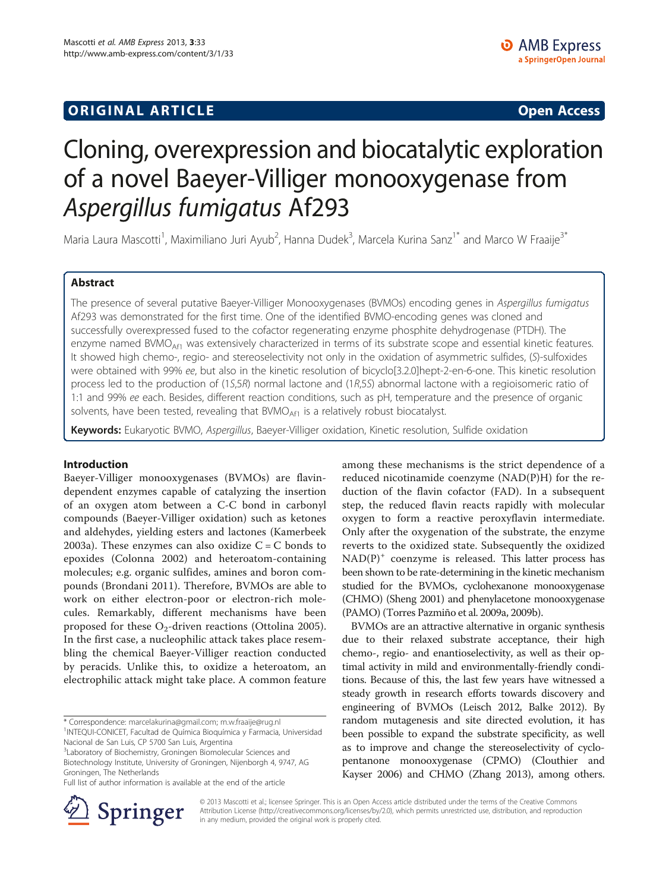## **ORIGINAL ARTICLE CONSUMING A LIGACION CONSUMING A LIGACION CONSUMING A LIGACION**

# Cloning, overexpression and biocatalytic exploration of a novel Baeyer-Villiger monooxygenase from Aspergillus fumigatus Af293

Maria Laura Mascotti<sup>1</sup>, Maximiliano Juri Ayub<sup>2</sup>, Hanna Dudek<sup>3</sup>, Marcela Kurina Sanz<sup>1\*</sup> and Marco W Fraaije<sup>3\*</sup>

## Abstract

The presence of several putative Baeyer-Villiger Monooxygenases (BVMOs) encoding genes in Aspergillus fumigatus Af293 was demonstrated for the first time. One of the identified BVMO-encoding genes was cloned and successfully overexpressed fused to the cofactor regenerating enzyme phosphite dehydrogenase (PTDH). The enzyme named BVMO<sub>Af1</sub> was extensively characterized in terms of its substrate scope and essential kinetic features. It showed high chemo-, regio- and stereoselectivity not only in the oxidation of asymmetric sulfides, (S)-sulfoxides were obtained with 99% ee, but also in the kinetic resolution of bicyclo[3.2.0]hept-2-en-6-one. This kinetic resolution process led to the production of (1S,5R) normal lactone and (1R,5S) abnormal lactone with a regioisomeric ratio of 1:1 and 99% ee each. Besides, different reaction conditions, such as pH, temperature and the presence of organic solvents, have been tested, revealing that  $BVMO<sub>Af1</sub>$  is a relatively robust biocatalyst.

Keywords: Eukaryotic BVMO, Aspergillus, Baeyer-Villiger oxidation, Kinetic resolution, Sulfide oxidation

### Introduction

Baeyer-Villiger monooxygenases (BVMOs) are flavindependent enzymes capable of catalyzing the insertion of an oxygen atom between a C-C bond in carbonyl compounds (Baeyer-Villiger oxidation) such as ketones and aldehydes, yielding esters and lactones (Kamerbeek [2003a](#page-8-0)). These enzymes can also oxidize  $C = C$  bonds to epoxides (Colonna [2002\)](#page-8-0) and heteroatom-containing molecules; e.g. organic sulfides, amines and boron compounds (Brondani [2011](#page-8-0)). Therefore, BVMOs are able to work on either electron-poor or electron-rich molecules. Remarkably, different mechanisms have been proposed for these  $O_2$ -driven reactions (Ottolina [2005](#page-9-0)). In the first case, a nucleophilic attack takes place resembling the chemical Baeyer-Villiger reaction conducted by peracids. Unlike this, to oxidize a heteroatom, an electrophilic attack might take place. A common feature

\* Correspondence: [marcelakurina@gmail.com;](mailto:marcelakurina@gmail.com) [m.w.fraaije@rug.nl](mailto:m.w.fraaije@rug.nl) <sup>1</sup> <sup>1</sup>INTEQUI-CONICET, Facultad de Química Bioquímica y Farmacia, Universidad

Nacional de San Luis, CP 5700 San Luis, Argentina

<sup>3</sup> Laboratory of Biochemistry, Groningen Biomolecular Sciences and Biotechnology Institute, University of Groningen, Nijenborgh 4, 9747, AG Groningen, The Netherlands

among these mechanisms is the strict dependence of a reduced nicotinamide coenzyme (NAD(P)H) for the reduction of the flavin cofactor (FAD). In a subsequent step, the reduced flavin reacts rapidly with molecular oxygen to form a reactive peroxyflavin intermediate. Only after the oxygenation of the substrate, the enzyme reverts to the oxidized state. Subsequently the oxidized  $NAD(P)^+$  coenzyme is released. This latter process has been shown to be rate-determining in the kinetic mechanism studied for the BVMOs, cyclohexanone monooxygenase (CHMO) (Sheng [2001\)](#page-9-0) and phenylacetone monooxygenase (PAMO) (Torres Pazmiño et al. [2009a, 2009b\)](#page-9-0).

BVMOs are an attractive alternative in organic synthesis due to their relaxed substrate acceptance, their high chemo-, regio- and enantioselectivity, as well as their optimal activity in mild and environmentally-friendly conditions. Because of this, the last few years have witnessed a steady growth in research efforts towards discovery and engineering of BVMOs (Leisch [2012,](#page-8-0) Balke [2012](#page-8-0)). By random mutagenesis and site directed evolution, it has been possible to expand the substrate specificity, as well as to improve and change the stereoselectivity of cyclopentanone monooxygenase (CPMO) (Clouthier and Kayser [2006](#page-8-0)) and CHMO (Zhang [2013\)](#page-9-0), among others.



© 2013 Mascotti et al.; licensee Springer. This is an Open Access article distributed under the terms of the Creative Commons Attribution License [\(http://creativecommons.org/licenses/by/2.0\)](http://creativecommons.org/licenses/by/2.0), which permits unrestricted use, distribution, and reproduction in any medium, provided the original work is properly cited.

Full list of author information is available at the end of the article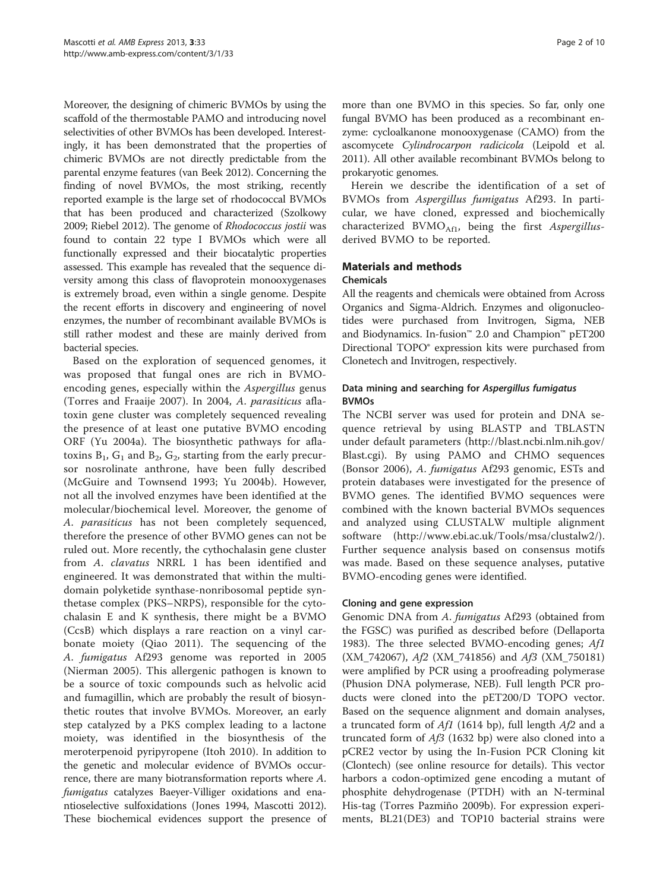Moreover, the designing of chimeric BVMOs by using the scaffold of the thermostable PAMO and introducing novel selectivities of other BVMOs has been developed. Interestingly, it has been demonstrated that the properties of chimeric BVMOs are not directly predictable from the parental enzyme features (van Beek [2012](#page-9-0)). Concerning the finding of novel BVMOs, the most striking, recently reported example is the large set of rhodococcal BVMOs that has been produced and characterized (Szolkowy [2009;](#page-9-0) Riebel [2012\)](#page-9-0). The genome of Rhodococcus jostii was found to contain 22 type I BVMOs which were all functionally expressed and their biocatalytic properties assessed. This example has revealed that the sequence diversity among this class of flavoprotein monooxygenases is extremely broad, even within a single genome. Despite the recent efforts in discovery and engineering of novel enzymes, the number of recombinant available BVMOs is still rather modest and these are mainly derived from bacterial species.

Based on the exploration of sequenced genomes, it was proposed that fungal ones are rich in BVMOencoding genes, especially within the *Aspergillus* genus (Torres and Fraaije [2007](#page-9-0)). In 2004, A. parasiticus aflatoxin gene cluster was completely sequenced revealing the presence of at least one putative BVMO encoding ORF (Yu [2004a](#page-9-0)). The biosynthetic pathways for aflatoxins  $B_1$ ,  $G_1$  and  $B_2$ ,  $G_2$ , starting from the early precursor nosrolinate anthrone, have been fully described (McGuire and Townsend [1993;](#page-9-0) Yu [2004b](#page-9-0)). However, not all the involved enzymes have been identified at the molecular/biochemical level. Moreover, the genome of A. parasiticus has not been completely sequenced, therefore the presence of other BVMO genes can not be ruled out. More recently, the cythochalasin gene cluster from A. clavatus NRRL 1 has been identified and engineered. It was demonstrated that within the multidomain polyketide synthase-nonribosomal peptide synthetase complex (PKS–NRPS), responsible for the cytochalasin E and K synthesis, there might be a BVMO (CcsB) which displays a rare reaction on a vinyl carbonate moiety (Qiao [2011\)](#page-9-0). The sequencing of the A. fumigatus Af293 genome was reported in 2005 (Nierman [2005\)](#page-9-0). This allergenic pathogen is known to be a source of toxic compounds such as helvolic acid and fumagillin, which are probably the result of biosynthetic routes that involve BVMOs. Moreover, an early step catalyzed by a PKS complex leading to a lactone moiety, was identified in the biosynthesis of the meroterpenoid pyripyropene (Itoh [2010\)](#page-8-0). In addition to the genetic and molecular evidence of BVMOs occurrence, there are many biotransformation reports where A. fumigatus catalyzes Baeyer-Villiger oxidations and enantioselective sulfoxidations (Jones [1994,](#page-8-0) Mascotti [2012](#page-9-0)). These biochemical evidences support the presence of more than one BVMO in this species. So far, only one fungal BVMO has been produced as a recombinant enzyme: cycloalkanone monooxygenase (CAMO) from the ascomycete Cylindrocarpon radicicola (Leipold et al. [2011\)](#page-8-0). All other available recombinant BVMOs belong to prokaryotic genomes.

Herein we describe the identification of a set of BVMOs from Aspergillus fumigatus Af293. In particular, we have cloned, expressed and biochemically characterized  $BVMO<sub>Af1</sub>$ , being the first Aspergillusderived BVMO to be reported.

## Materials and methods

### Chemicals

All the reagents and chemicals were obtained from Across Organics and Sigma-Aldrich. Enzymes and oligonucleotides were purchased from Invitrogen, Sigma, NEB and Biodynamics. In-fusion™ 2.0 and Champion™ pET200 Directional TOPO® expression kits were purchased from Clonetech and Invitrogen, respectively.

## Data mining and searching for Aspergillus fumigatus BVMOs

The NCBI server was used for protein and DNA sequence retrieval by using BLASTP and TBLASTN under default parameters [\(http://blast.ncbi.nlm.nih.gov/](http://blast.ncbi.nlm.nih.gov/Blast.cgi) [Blast.cgi](http://blast.ncbi.nlm.nih.gov/Blast.cgi)). By using PAMO and CHMO sequences (Bonsor [2006](#page-8-0)), A. fumigatus Af293 genomic, ESTs and protein databases were investigated for the presence of BVMO genes. The identified BVMO sequences were combined with the known bacterial BVMOs sequences and analyzed using CLUSTALW multiple alignment software [\(http://www.ebi.ac.uk/Tools/msa/clustalw2/](http://www.ebi.ac.uk/Tools/msa/clustalw2/)). Further sequence analysis based on consensus motifs was made. Based on these sequence analyses, putative BVMO-encoding genes were identified.

## Cloning and gene expression

Genomic DNA from A. fumigatus Af293 (obtained from the FGSC) was purified as described before (Dellaporta [1983](#page-8-0)). The three selected BVMO-encoding genes; Af1 (XM\_742067), Af2 (XM\_741856) and Af3 (XM\_750181) were amplified by PCR using a proofreading polymerase (Phusion DNA polymerase, NEB). Full length PCR products were cloned into the pET200/D TOPO vector. Based on the sequence alignment and domain analyses, a truncated form of  $Af1$  (1614 bp), full length  $Af2$  and a truncated form of  $A<sub>f</sub>3$  (1632 bp) were also cloned into a pCRE2 vector by using the In-Fusion PCR Cloning kit (Clontech) (see online resource for details). This vector harbors a codon-optimized gene encoding a mutant of phosphite dehydrogenase (PTDH) with an N-terminal His-tag (Torres Pazmiño [2009b](#page-9-0)). For expression experiments, BL21(DE3) and TOP10 bacterial strains were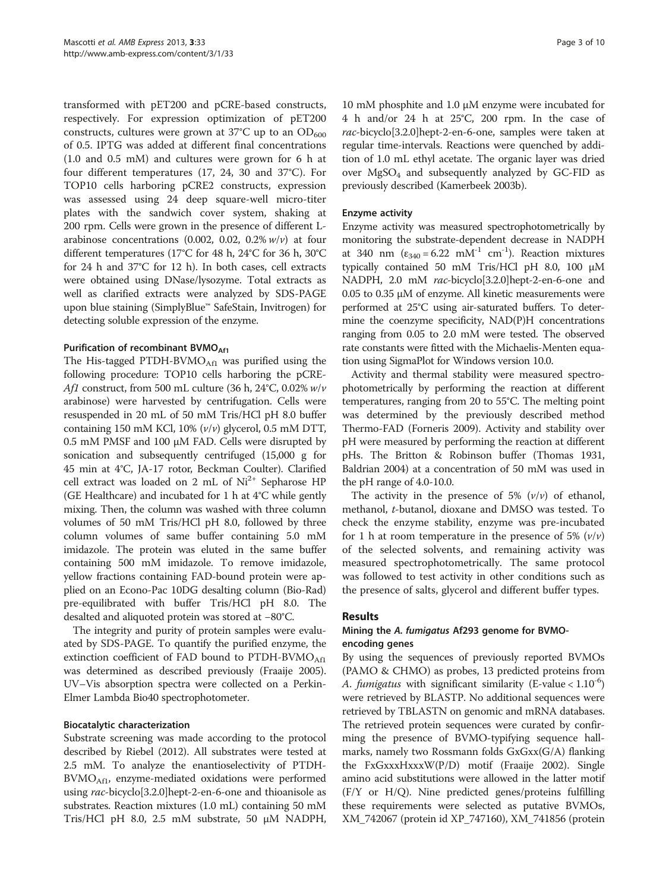transformed with pET200 and pCRE-based constructs, respectively. For expression optimization of pET200 constructs, cultures were grown at  $37^{\circ}$ C up to an  $OD_{600}$ of 0.5. IPTG was added at different final concentrations (1.0 and 0.5 mM) and cultures were grown for 6 h at four different temperatures (17, 24, 30 and 37°C). For TOP10 cells harboring pCRE2 constructs, expression was assessed using 24 deep square-well micro-titer plates with the sandwich cover system, shaking at 200 rpm. Cells were grown in the presence of different Larabinose concentrations (0.002, 0.02, 0.2%  $w/v$ ) at four different temperatures (17°C for 48 h, 24°C for 36 h, 30°C for 24 h and 37°C for 12 h). In both cases, cell extracts were obtained using DNase/lysozyme. Total extracts as well as clarified extracts were analyzed by SDS-PAGE upon blue staining (SimplyBlue™ SafeStain, Invitrogen) for detecting soluble expression of the enzyme.

#### Purification of recombinant BVMO<sub>Af1</sub>

The His-tagged PTDH-BVM $O_{\text{Aff}}$  was purified using the following procedure: TOP10 cells harboring the pCRE-Af1 construct, from 500 mL culture (36 h, 24 $\degree$ C, 0.02% w/v arabinose) were harvested by centrifugation. Cells were resuspended in 20 mL of 50 mM Tris/HCl pH 8.0 buffer containing 150 mM KCl, 10% (v/v) glycerol, 0.5 mM DTT, 0.5 mM PMSF and 100 μM FAD. Cells were disrupted by sonication and subsequently centrifuged (15,000 g for 45 min at 4°C, JA-17 rotor, Beckman Coulter). Clarified cell extract was loaded on 2 mL of  $Ni<sup>2+</sup>$  Sepharose HP (GE Healthcare) and incubated for 1 h at 4°C while gently mixing. Then, the column was washed with three column volumes of 50 mM Tris/HCl pH 8.0, followed by three column volumes of same buffer containing 5.0 mM imidazole. The protein was eluted in the same buffer containing 500 mM imidazole. To remove imidazole, yellow fractions containing FAD-bound protein were applied on an Econo-Pac 10DG desalting column (Bio-Rad) pre-equilibrated with buffer Tris/HCl pH 8.0. The desalted and aliquoted protein was stored at −80°C.

The integrity and purity of protein samples were evaluated by SDS-PAGE. To quantify the purified enzyme, the extinction coefficient of FAD bound to PTDH-BVMO $_{\text{Afl}}$ was determined as described previously (Fraaije [2005](#page-8-0)). UV–Vis absorption spectra were collected on a Perkin-Elmer Lambda Bio40 spectrophotometer.

### Biocatalytic characterization

Substrate screening was made according to the protocol described by Riebel [\(2012](#page-9-0)). All substrates were tested at 2.5 mM. To analyze the enantioselectivity of PTDH- $BVMO<sub>Af1</sub>$ , enzyme-mediated oxidations were performed using rac-bicyclo[3.2.0]hept-2-en-6-one and thioanisole as substrates. Reaction mixtures (1.0 mL) containing 50 mM Tris/HCl pH 8.0, 2.5 mM substrate, 50 μM NADPH,

10 mM phosphite and 1.0 μM enzyme were incubated for 4 h and/or 24 h at 25°C, 200 rpm. In the case of rac-bicyclo[3.2.0]hept-2-en-6-one, samples were taken at regular time-intervals. Reactions were quenched by addition of 1.0 mL ethyl acetate. The organic layer was dried over  $MgSO<sub>4</sub>$  and subsequently analyzed by GC-FID as previously described (Kamerbeek [2003b\)](#page-8-0).

#### Enzyme activity

Enzyme activity was measured spectrophotometrically by monitoring the substrate-dependent decrease in NADPH at 340 nm  $(\epsilon_{340} = 6.22 \text{ mM}^{-1} \text{ cm}^{-1})$ . Reaction mixtures typically contained 50 mM Tris/HCl pH 8.0, 100 μM NADPH, 2.0 mM rac-bicyclo[3.2.0]hept-2-en-6-one and 0.05 to 0.35 μM of enzyme. All kinetic measurements were performed at 25°C using air-saturated buffers. To determine the coenzyme specificity, NAD(P)H concentrations ranging from 0.05 to 2.0 mM were tested. The observed rate constants were fitted with the Michaelis-Menten equation using SigmaPlot for Windows version 10.0.

Activity and thermal stability were measured spectrophotometrically by performing the reaction at different temperatures, ranging from 20 to 55°C. The melting point was determined by the previously described method Thermo-FAD (Forneris [2009\)](#page-8-0). Activity and stability over pH were measured by performing the reaction at different pHs. The Britton & Robinson buffer (Thomas [1931](#page-9-0), Baldrian [2004\)](#page-8-0) at a concentration of 50 mM was used in the pH range of 4.0-10.0.

The activity in the presence of 5%  $(v/v)$  of ethanol, methanol, t-butanol, dioxane and DMSO was tested. To check the enzyme stability, enzyme was pre-incubated for 1 h at room temperature in the presence of 5%  $(v/v)$ of the selected solvents, and remaining activity was measured spectrophotometrically. The same protocol was followed to test activity in other conditions such as the presence of salts, glycerol and different buffer types.

### Results

### Mining the A. fumigatus Af293 genome for BVMOencoding genes

By using the sequences of previously reported BVMOs (PAMO & CHMO) as probes, 13 predicted proteins from A. *fumigatus* with significant similarity (E-value <  $1.10^{-6}$ ) were retrieved by BLASTP. No additional sequences were retrieved by TBLASTN on genomic and mRNA databases. The retrieved protein sequences were curated by confirming the presence of BVMO-typifying sequence hallmarks, namely two Rossmann folds GxGxx(G/A) flanking the FxGxxxHxxxW(P/D) motif (Fraaije [2002\)](#page-8-0). Single amino acid substitutions were allowed in the latter motif (F/Y or H/Q). Nine predicted genes/proteins fulfilling these requirements were selected as putative BVMOs, XM\_742067 (protein id XP\_747160), XM\_741856 (protein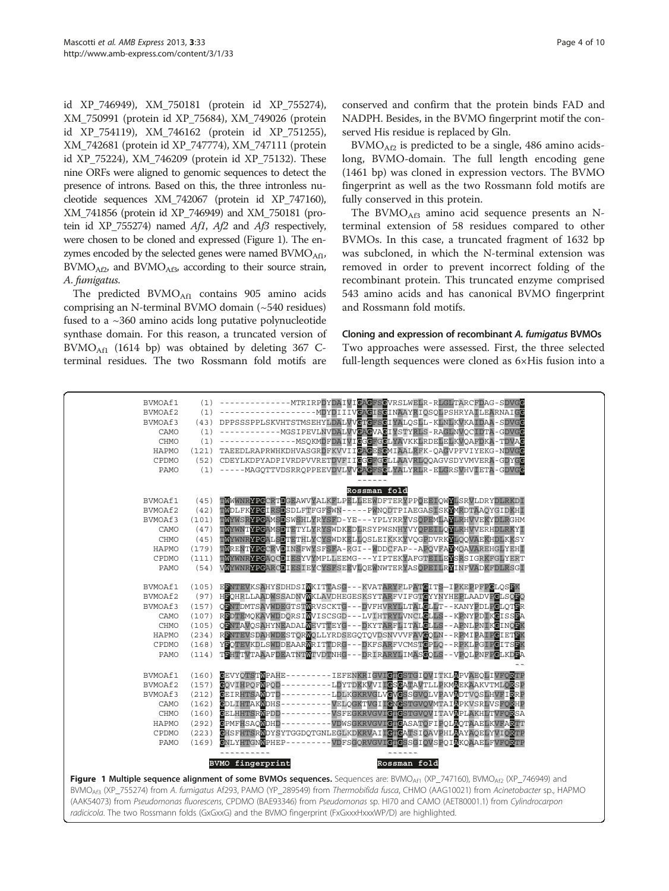id XP\_746949), XM\_750181 (protein id XP\_755274), XM\_750991 (protein id XP\_75684), XM\_749026 (protein id XP\_754119), XM\_746162 (protein id XP\_751255), XM\_742681 (protein id XP\_747774), XM\_747111 (protein id XP\_75224), XM\_746209 (protein id XP\_75132). These nine ORFs were aligned to genomic sequences to detect the presence of introns. Based on this, the three intronless nucleotide sequences XM\_742067 (protein id XP\_747160), XM\_741856 (protein id XP\_746949) and XM\_750181 (protein id XP\_755274) named Af1, Af2 and Af3 respectively, were chosen to be cloned and expressed (Figure 1). The enzymes encoded by the selected genes were named  $BVMO<sub>Af1</sub>$ ,  $BVMO<sub>Af2</sub>$ , and  $BVMO<sub>Af3</sub>$ , according to their source strain, A. fumigatus.

The predicted  $BVMO<sub>Af1</sub>$  contains 905 amino acids comprising an N-terminal BVMO domain (~540 residues) fused to a ~360 amino acids long putative polynucleotide synthase domain. For this reason, a truncated version of  $BVMO<sub>Af1</sub>$  (1614 bp) was obtained by deleting 367 Cterminal residues. The two Rossmann fold motifs are conserved and confirm that the protein binds FAD and NADPH. Besides, in the BVMO fingerprint motif the conserved His residue is replaced by Gln.

 $BVMO<sub>Af2</sub>$  is predicted to be a single, 486 amino acidslong, BVMO-domain. The full length encoding gene (1461 bp) was cloned in expression vectors. The BVMO fingerprint as well as the two Rossmann fold motifs are fully conserved in this protein.

The BVMO $_{\rm AB}$  amino acid sequence presents an Nterminal extension of 58 residues compared to other BVMOs. In this case, a truncated fragment of 1632 bp was subcloned, in which the N-terminal extension was removed in order to prevent incorrect folding of the recombinant protein. This truncated enzyme comprised 543 amino acids and has canonical BVMO fingerprint and Rossmann fold motifs.

## Cloning and expression of recombinant A. fumigatus BVMOs Two approaches were assessed. First, the three selected full-length sequences were cloned as 6×His fusion into a

| BVMOAf1     | (105) | EENTEVKSAHYSDHDSIMKITTASG---KVATARYFLPATGITS-IPKEPPFPGLOSEK                                                                                              |
|-------------|-------|----------------------------------------------------------------------------------------------------------------------------------------------------------|
| BVMOAf2     | (97)  | HEOHRLLAADWSSADNVMKLAVDHEGESKSYTARFVIFGTCYYNYHEPLAADVPCLSOFO                                                                                             |
| BVMOAf3     | (157) | OLNTDMTSAVWDEGTSTWRVSCKTG---DVFHVRYLLTALGLLT--KANYPDLPGLOTER                                                                                             |
| CAMO        | (107) | REDTEMOKAVWDDORSIMVISCSGD---LVIHTRYLVNCLCLLS--KPNYPDIKCISSEA                                                                                             |
| <b>CHMO</b> | (105) | QENTAVOSAHYNEADALWEVTTEYG-<br>-DKYTARFLITALCLLS--APNLPNIKCINORK                                                                                          |
| HAPMO       | (234) | RENTEVSDAHWDESTORWOLLYRDSEGOTOVDSNVVVFAVGOLN--RPMIPAIPGIETFK                                                                                             |
| CPDMO       | (168) | YFOTEVKDLSWDDEAARWRITTDRG-<br>-DKFSARFVCMSTCPLO--RPKLPGIPCITSFK                                                                                          |
| PAMO        | (114) | TEHTTVTAAAFDEATNTWTVDTNHG-<br>DRIRARYLIMASCOLS - - VPOLPNFPCLKDDA                                                                                        |
|             |       |                                                                                                                                                          |
| BVMOAf1     | (160) | <b>GEVYOTSTWPAHE--</b><br>-------IEFENKRIGVIGTGSTGIOVITKLAPVAEOLIVFORTP                                                                                  |
| BVMOAf2     | (157) | COVIHPOFWPOD-<br>-LDYTDKKVVIIGSGATAVTLLPKMAEKAAKVTMLORSP                                                                                                 |
| BVMOAf3     | (212) | -LDLKGKRVGLVGVGSSGVQLVPAVADTVQSLHVFIRRP<br><b>GEIRHTSAWDTD-</b>                                                                                          |
| CAMO        | (162) | <b>GDLIHTAKWDHS-</b><br>- VELOGKTVGII <b>G</b> NGSTGVOVMTAIAPKVSRLVSFORHP                                                                                |
| <b>CHMO</b> | (160) | -VSFEGKRVGVICTGSTGVQVITAVAPLAKHLTVFQRSA<br><b>GELHHTSRWPDD-</b>                                                                                          |
| HAPMO       | (292) | <b>GPMFHSAOWDHD-</b><br>-VDWSGKRVGVICTGASATOFIPOLAOTAAELKVFARTT                                                                                          |
| CPDMO       | (223) | GHSFHTSRWDYSYTGGDOTGNLEGLKDKRVAIIGTGATSIOAVPHLAAYAOELYVIORTP                                                                                             |
| PAMO        | (169) | <b>GNLYHTGNWPHEP-</b><br>-VDFSGQRVGVICTCSSGIQVSPQI <u>A</u> KQAAELFVFQRTP                                                                                |
|             |       |                                                                                                                                                          |
|             |       | <b>BVMO</b> fingerprint<br>Rossman fold                                                                                                                  |
|             |       | <b>Figure 1 Multiple sequence alignment of some BVMOs sequences.</b> Sequences are: BVMO <sub>Af1</sub> (XP_747160), BVMO <sub>Af2</sub> (XP_746949) and |
|             |       | BVMO <sub>Af3</sub> (XP_755274) from A. fumigatus Af293, PAMO (YP_289549) from Thermobifida fusca, CHMO (AAG10021) from Acinetobacter sp., HAPMO         |
|             |       |                                                                                                                                                          |
|             |       | (AAK54073) from Pseudomonas fluorescens, CPDMO (BAE93346) from Pseudomonas sp. HI70 and CAMO (AET80001.1) from Cylindrocarpon                            |
|             |       | radicicola. The two Rossmann folds (GxGxxG) and the BVMO fingerprint (FxGxxxHxxxWP/D) are highlighted.                                                   |

BVMOAf1 (1) --------------MTRIRPDYDAIVIGAGFSGVRSLWELR-RLGLTARCFDAG-SDVGG BVMOAf2 (1) -------------------MDYDIIIVGAGISGINAAYRIQSQLPSHRYAILEARNAIGG BVMOAf3 (43) DPPSSSPPLSKVHTSTMSEHYLDALVVGTGFSGIYALQSLL-KLNLKVKAIDAA-SDVGG CAMO (1) ------------MGSIPEVLNVDALVVGAGVAGIYSTYRLS-RAGLNVQCIDTA-GDVGG CHMO (1) --------------MSQKMDFDAIVI<mark>GGGFGGLYA</mark>VKKLRDELELKVQAFDKA-TDVA<mark>G</mark> HAPMO (121) TAEEDLRAPRWHKDHVASGRDFKVVIIGAGESGMIAALRFK-QAGVPFVIYEKG-NDVGG CPDMO (52) CDEYLKDPYADPIVRDPVVRETDVFIIGGGFGGLLAAVRLQQAGVSDYVMVERA-GDYGG PAMO (1) -----MAGQTTVDSRRQPPEEVDVLVVGAGFSGLYALYRLR-ELGRSVHVIETA-GDVGG

BVMOAf1 (45) TWWWNRYPGCRTDGEAWVYALKFLPELLEEWDFTERYPPQEEIQWYLSRVLDRYDLRKDI<br>BVMOAf2 (42) TWDLFKYPGIRSDSDLFTFGFSWN-----PWNQDTPIAEGASISKYMRDTAAQYGIDKHI BVMOAf2 (42) TWDLFKYPGIRSDSDLFTFGFSWN-----PWNQDTPIAEGASISKYMRDTAAQYGIDKHI BVMOAf3 (101) T<mark>WYWSRYPGAMSD</mark>SWSHLYRYSFD-YE---YPLYRRYVSQPEMLAYLRHVVEKYDLRGHM CAMO (47) TWYWNTYPGAMSDTETYLYRYSWDKEDLRSYPWSNHYVYQPEILQYLRHVVERHDLRKYI CHMO (45) T<mark>WYWNRYPGALSDTETHLYCYSWDKELL</mark>QSLEIKKKYVQGPDVRK<mark>YLQQVAEKHDLKKSY</mark><br>HAPMO (179) TWRENTYPGCRVDINSFWYSFSFA-RGI--MDDCFAP--APQVFAYMQAVAREHGLYEHI

PAMO (54) VWYWNRYPGARCDIESIEYCYSFSEEVLQEWNWTERYASQPEILRYINFVADKFDLRSGI

CPDMO (111) TWYWNRYPGAQCDIESYVYMPLLEEMG---YIPTEKYAFGTEILE

------ **Rossman fold**

TWRENTYPGCRVDINSFWYSFSFA-RGI--WDDCFAP--APQVFAYMQAVAREHGLYEHI<br>TWYWNRYPGAQCDIESYVYMPLLEEMG---YIPTEKYAFGTEILEYSRSIGRKFGLYERT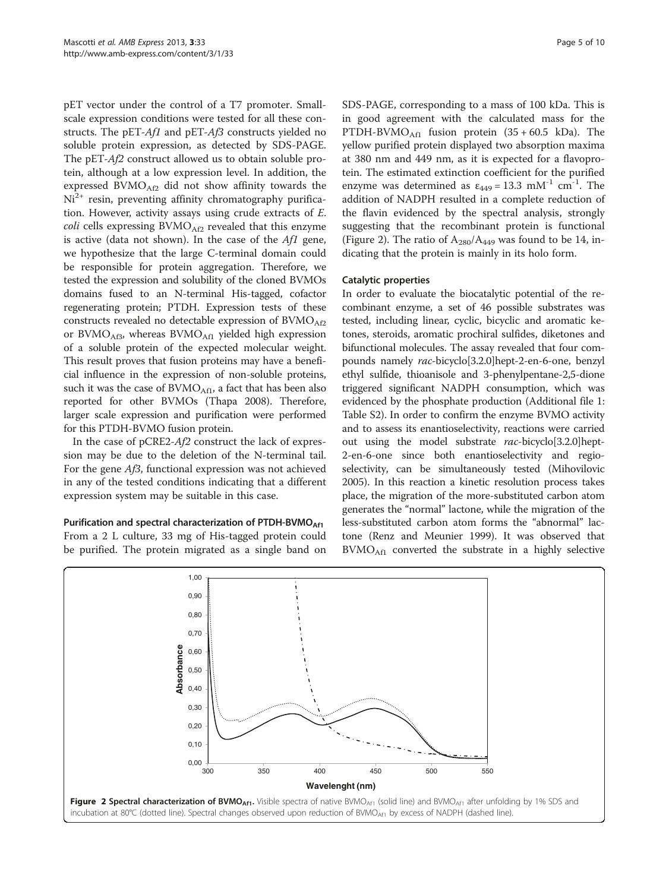pET vector under the control of a T7 promoter. Smallscale expression conditions were tested for all these constructs. The pET-Af1 and pET-Af3 constructs yielded no soluble protein expression, as detected by SDS-PAGE. The pET-Af2 construct allowed us to obtain soluble protein, although at a low expression level. In addition, the expressed  $BVMO<sub>Af2</sub>$  did not show affinity towards the  $Ni<sup>2+</sup>$  resin, preventing affinity chromatography purification. However, activity assays using crude extracts of E.  $coll$  cells expressing  $BVMO<sub>Af2</sub>$  revealed that this enzyme is active (data not shown). In the case of the  $Af1$  gene, we hypothesize that the large C-terminal domain could be responsible for protein aggregation. Therefore, we tested the expression and solubility of the cloned BVMOs domains fused to an N-terminal His-tagged, cofactor regenerating protein; PTDH. Expression tests of these constructs revealed no detectable expression of  $BVMO<sub>AP2</sub>$ or BVMO $_{\text{Af3}}$ , whereas BVMO $_{\text{Af1}}$  yielded high expression of a soluble protein of the expected molecular weight. This result proves that fusion proteins may have a beneficial influence in the expression of non-soluble proteins, such it was the case of  $BVMO<sub>Af1</sub>$ , a fact that has been also reported for other BVMOs (Thapa [2008](#page-9-0)). Therefore, larger scale expression and purification were performed for this PTDH-BVMO fusion protein.

In the case of pCRE2-Af2 construct the lack of expression may be due to the deletion of the N-terminal tail. For the gene Af3, functional expression was not achieved in any of the tested conditions indicating that a different expression system may be suitable in this case.

Purification and spectral characterization of PTDH-BVMO<sub>Af1</sub> From a 2 L culture, 33 mg of His-tagged protein could be purified. The protein migrated as a single band on

SDS-PAGE, corresponding to a mass of 100 kDa. This is in good agreement with the calculated mass for the PTDH-BVMO<sub>Af1</sub> fusion protein  $(35 + 60.5 \text{ kDa})$ . The yellow purified protein displayed two absorption maxima at 380 nm and 449 nm, as it is expected for a flavoprotein. The estimated extinction coefficient for the purified enzyme was determined as  $\varepsilon_{449} = 13.3 \text{ mM}^{-1} \text{ cm}^{-1}$ . The addition of NADPH resulted in a complete reduction of the flavin evidenced by the spectral analysis, strongly suggesting that the recombinant protein is functional (Figure 2). The ratio of  $A_{280}/A_{449}$  was found to be 14, indicating that the protein is mainly in its holo form.

#### Catalytic properties

In order to evaluate the biocatalytic potential of the recombinant enzyme, a set of 46 possible substrates was tested, including linear, cyclic, bicyclic and aromatic ketones, steroids, aromatic prochiral sulfides, diketones and bifunctional molecules. The assay revealed that four compounds namely rac-bicyclo[3.2.0]hept-2-en-6-one, benzyl ethyl sulfide, thioanisole and 3-phenylpentane-2,5-dione triggered significant NADPH consumption, which was evidenced by the phosphate production (Additional file [1](#page-8-0): Table S2). In order to confirm the enzyme BVMO activity and to assess its enantioselectivity, reactions were carried out using the model substrate rac-bicyclo[3.2.0]hept-2-en-6-one since both enantioselectivity and regioselectivity, can be simultaneously tested (Mihovilovic [2005](#page-9-0)). In this reaction a kinetic resolution process takes place, the migration of the more-substituted carbon atom generates the "normal" lactone, while the migration of the less-substituted carbon atom forms the "abnormal" lactone (Renz and Meunier [1999](#page-9-0)). It was observed that  $BVMO<sub>Af1</sub>$  converted the substrate in a highly selective

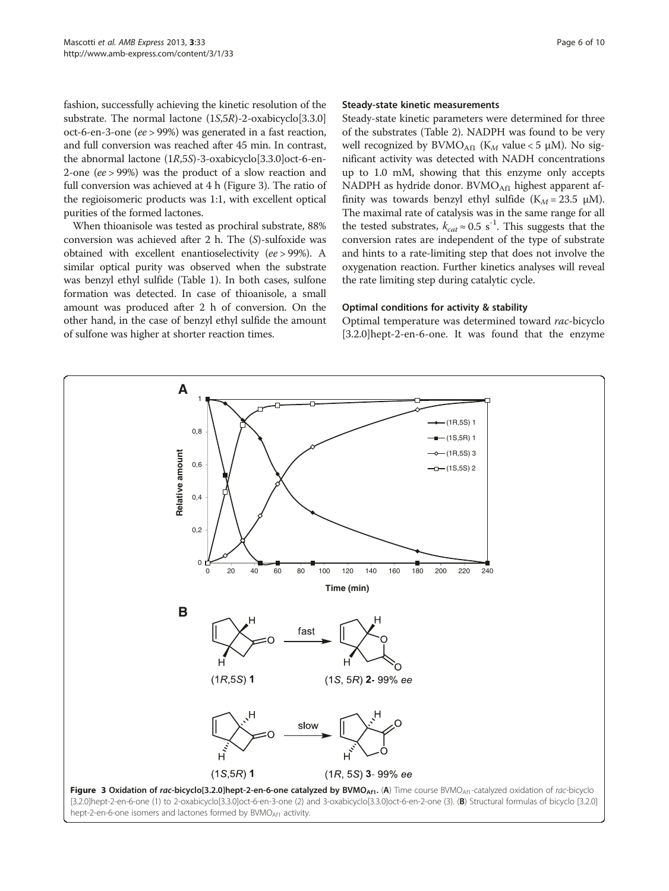fashion, successfully achieving the kinetic resolution of the substrate. The normal lactone (1S,5R)-2-oxabicyclo[3.3.0] oct-6-en-3-one (ee > 99%) was generated in a fast reaction, and full conversion was reached after 45 min. In contrast, the abnormal lactone (1R,5S)-3-oxabicyclo[3.3.0]oct-6-en-2-one (ee > 99%) was the product of a slow reaction and full conversion was achieved at 4 h (Figure 3). The ratio of the regioisomeric products was 1:1, with excellent optical purities of the formed lactones.

When thioanisole was tested as prochiral substrate, 88% conversion was achieved after 2 h. The (S)-sulfoxide was obtained with excellent enantioselectivity (ee > 99%). A similar optical purity was observed when the substrate was benzyl ethyl sulfide (Table [1\)](#page-6-0). In both cases, sulfone formation was detected. In case of thioanisole, a small amount was produced after 2 h of conversion. On the other hand, in the case of benzyl ethyl sulfide the amount of sulfone was higher at shorter reaction times.

#### Steady-state kinetic measurements

Steady-state kinetic parameters were determined for three of the substrates (Table [2](#page-6-0)). NADPH was found to be very well recognized by  $BVMO<sub>Af1</sub>$  (K<sub>M</sub> value < 5 µM). No significant activity was detected with NADH concentrations up to 1.0 mM, showing that this enzyme only accepts NADPH as hydride donor. BVMO $_{\text{Aff}}$  highest apparent affinity was towards benzyl ethyl sulfide ( $K_M = 23.5 \mu M$ ). The maximal rate of catalysis was in the same range for all the tested substrates,  $k_{cat} \approx 0.5 \text{ s}^{-1}$ . This suggests that the conversion rates are independent of the type of substrate and hints to a rate-limiting step that does not involve the oxygenation reaction. Further kinetics analyses will reveal the rate limiting step during catalytic cycle.

#### Optimal conditions for activity & stability

Optimal temperature was determined toward rac-bicyclo [3.2.0]hept-2-en-6-one. It was found that the enzyme

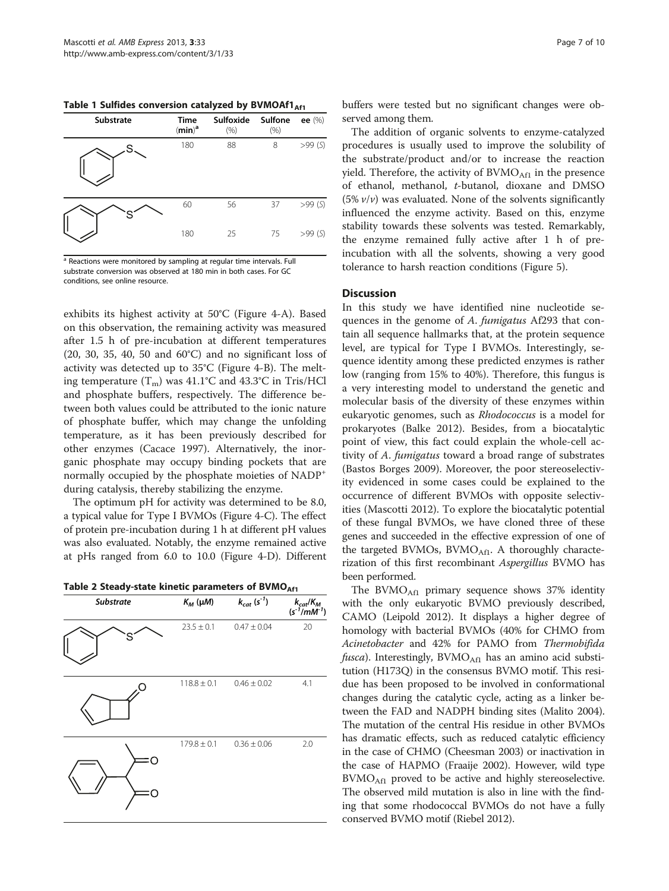<span id="page-6-0"></span>Table 1 Sulfides conversion catalyzed by BVMOAf1 $_{\text{Af1}}$ 

| <b>Substrate</b> | Time<br>(min) <sup>a</sup> | Sulfoxide<br>$(\% )$ | Sulfone<br>(% ) | ee $(\%)$ |
|------------------|----------------------------|----------------------|-----------------|-----------|
| .S.              | 180                        | 88                   | 8               | >99(S)    |
|                  | 60                         | 56                   | 37              | >99(S)    |
|                  | 180                        | 25                   | 75              | >99(S)    |

<sup>a</sup> Reactions were monitored by sampling at regular time intervals. Full substrate conversion was observed at 180 min in both cases. For GC conditions, see online resource.

exhibits its highest activity at 50°C (Figure [4-](#page-7-0)A). Based on this observation, the remaining activity was measured after 1.5 h of pre-incubation at different temperatures (20, 30, 35, 40, 50 and 60°C) and no significant loss of activity was detected up to 35°C (Figure [4](#page-7-0)-B). The melting temperature  $(T_m)$  was 41.1°C and 43.3°C in Tris/HCl and phosphate buffers, respectively. The difference between both values could be attributed to the ionic nature of phosphate buffer, which may change the unfolding temperature, as it has been previously described for other enzymes (Cacace [1997](#page-8-0)). Alternatively, the inorganic phosphate may occupy binding pockets that are normally occupied by the phosphate moieties of NADP<sup>+</sup> during catalysis, thereby stabilizing the enzyme.

The optimum pH for activity was determined to be 8.0, a typical value for Type I BVMOs (Figure [4-](#page-7-0)C). The effect of protein pre-incubation during 1 h at different pH values was also evaluated. Notably, the enzyme remained active at pHs ranged from 6.0 to 10.0 (Figure [4](#page-7-0)-D). Different

Table 2 Steady-state kinetic parameters of BVMO $_{\text{Af1}}$ 

| <b>Substrate</b> | $K_M$ ( $\mu$ M) | $k_{cat}\ (s^{\text{-}1})$ | $k_{cat}/K_M$<br>$(s^{-1}/mM^{-1})$ |
|------------------|------------------|----------------------------|-------------------------------------|
|                  | $23.5 \pm 0.1$   | $0.47 \pm 0.04$            | 20                                  |
|                  | $118.8 \pm 0.1$  | $0.46 \pm 0.02$            | 4.1                                 |
| ſΙ               | $179.8 \pm 0.1$  | $0.36 \pm 0.06$            | 2.0                                 |

buffers were tested but no significant changes were observed among them.

The addition of organic solvents to enzyme-catalyzed procedures is usually used to improve the solubility of the substrate/product and/or to increase the reaction yield. Therefore, the activity of  $BVMO<sub>Af1</sub>$  in the presence of ethanol, methanol, t-butanol, dioxane and DMSO (5%  $v/v$ ) was evaluated. None of the solvents significantly influenced the enzyme activity. Based on this, enzyme stability towards these solvents was tested. Remarkably, the enzyme remained fully active after 1 h of preincubation with all the solvents, showing a very good tolerance to harsh reaction conditions (Figure [5](#page-7-0)).

#### **Discussion**

In this study we have identified nine nucleotide sequences in the genome of A. fumigatus Af293 that contain all sequence hallmarks that, at the protein sequence level, are typical for Type I BVMOs. Interestingly, sequence identity among these predicted enzymes is rather low (ranging from 15% to 40%). Therefore, this fungus is a very interesting model to understand the genetic and molecular basis of the diversity of these enzymes within eukaryotic genomes, such as Rhodococcus is a model for prokaryotes (Balke [2012\)](#page-8-0). Besides, from a biocatalytic point of view, this fact could explain the whole-cell activity of A. fumigatus toward a broad range of substrates (Bastos Borges [2009](#page-8-0)). Moreover, the poor stereoselectivity evidenced in some cases could be explained to the occurrence of different BVMOs with opposite selectivities (Mascotti [2012\)](#page-9-0). To explore the biocatalytic potential of these fungal BVMOs, we have cloned three of these genes and succeeded in the effective expression of one of the targeted BVMOs, BVMO $_{\text{Af1}}$ . A thoroughly characterization of this first recombinant Aspergillus BVMO has been performed.

The BVMO $_{\text{Af1}}$  primary sequence shows 37% identity with the only eukaryotic BVMO previously described, CAMO (Leipold [2012\)](#page-8-0). It displays a higher degree of homology with bacterial BVMOs (40% for CHMO from Acinetobacter and 42% for PAMO from Thermobifida *fusca*). Interestingly,  $BVMO<sub>Af1</sub>$  has an amino acid substitution (H173Q) in the consensus BVMO motif. This residue has been proposed to be involved in conformational changes during the catalytic cycle, acting as a linker between the FAD and NADPH binding sites (Malito [2004](#page-8-0)). The mutation of the central His residue in other BVMOs has dramatic effects, such as reduced catalytic efficiency in the case of CHMO (Cheesman [2003](#page-8-0)) or inactivation in the case of HAPMO (Fraaije [2002](#page-8-0)). However, wild type  $BVMO<sub>Af1</sub>$  proved to be active and highly stereoselective. The observed mild mutation is also in line with the finding that some rhodococcal BVMOs do not have a fully conserved BVMO motif (Riebel [2012\)](#page-9-0).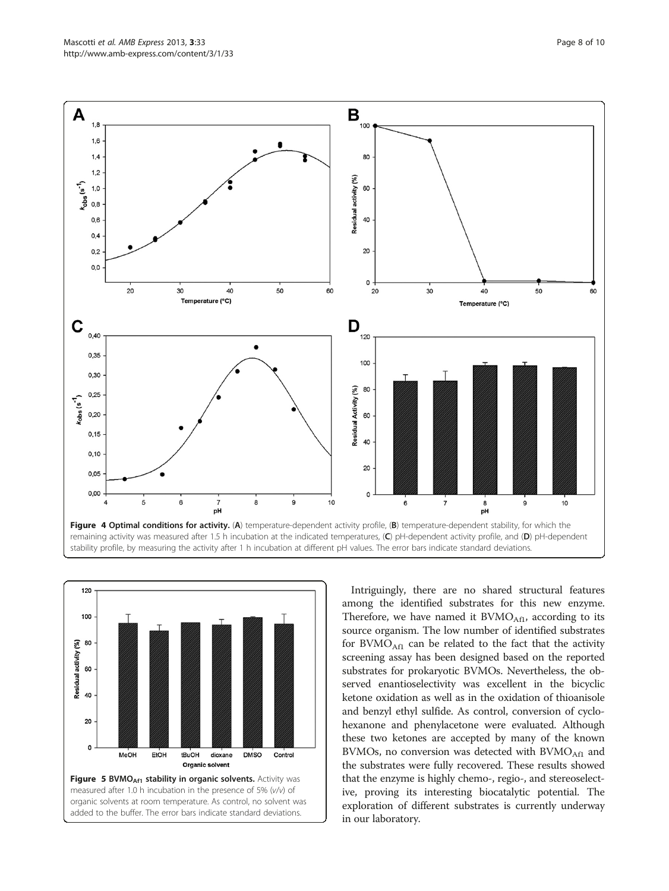<span id="page-7-0"></span>



Intriguingly, there are no shared structural features among the identified substrates for this new enzyme. Therefore, we have named it  $BVMO<sub>Af1</sub>$ , according to its source organism. The low number of identified substrates for  $BVMO<sub>Af1</sub>$  can be related to the fact that the activity screening assay has been designed based on the reported substrates for prokaryotic BVMOs. Nevertheless, the observed enantioselectivity was excellent in the bicyclic ketone oxidation as well as in the oxidation of thioanisole and benzyl ethyl sulfide. As control, conversion of cyclohexanone and phenylacetone were evaluated. Although these two ketones are accepted by many of the known BVMOs, no conversion was detected with BVMO<sub>Af1</sub> and the substrates were fully recovered. These results showed that the enzyme is highly chemo-, regio-, and stereoselective, proving its interesting biocatalytic potential. The exploration of different substrates is currently underway in our laboratory.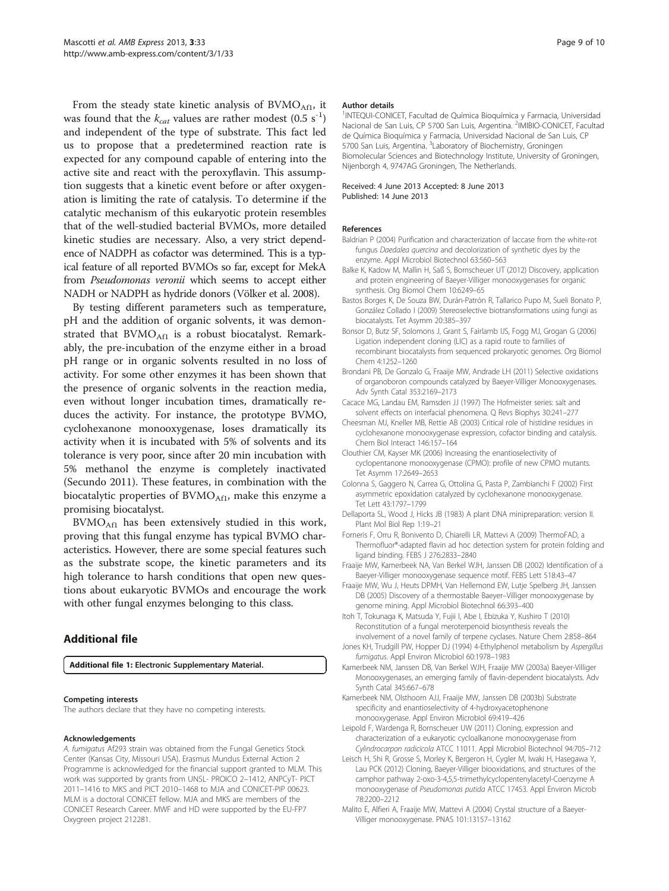<span id="page-8-0"></span>From the steady state kinetic analysis of  $BVMO<sub>Af1</sub>$ , it was found that the  $k_{cat}$  values are rather modest (0.5 s<sup>-1</sup>) and independent of the type of substrate. This fact led us to propose that a predetermined reaction rate is expected for any compound capable of entering into the active site and react with the peroxyflavin. This assumption suggests that a kinetic event before or after oxygenation is limiting the rate of catalysis. To determine if the catalytic mechanism of this eukaryotic protein resembles that of the well-studied bacterial BVMOs, more detailed kinetic studies are necessary. Also, a very strict dependence of NADPH as cofactor was determined. This is a typical feature of all reported BVMOs so far, except for MekA from Pseudomonas veronii which seems to accept either NADH or NADPH as hydride donors (Völker et al. [2008\)](#page-9-0).

By testing different parameters such as temperature, pH and the addition of organic solvents, it was demonstrated that  $BVMO<sub>Af1</sub>$  is a robust biocatalyst. Remarkably, the pre-incubation of the enzyme either in a broad pH range or in organic solvents resulted in no loss of activity. For some other enzymes it has been shown that the presence of organic solvents in the reaction media, even without longer incubation times, dramatically reduces the activity. For instance, the prototype BVMO, cyclohexanone monooxygenase, loses dramatically its activity when it is incubated with 5% of solvents and its tolerance is very poor, since after 20 min incubation with 5% methanol the enzyme is completely inactivated (Secundo [2011\)](#page-9-0). These features, in combination with the biocatalytic properties of  $BVMO<sub>Af1</sub>$ , make this enzyme a promising biocatalyst.

 $BVMO<sub>Af1</sub>$  has been extensively studied in this work, proving that this fungal enzyme has typical BVMO characteristics. However, there are some special features such as the substrate scope, the kinetic parameters and its high tolerance to harsh conditions that open new questions about eukaryotic BVMOs and encourage the work with other fungal enzymes belonging to this class.

### Additional file

[Additional file 1:](http://www.biomedcentral.com/content/supplementary/2191-0855-3-33-S1.pdf) Electronic Supplementary Material.

#### Competing interests

The authors declare that they have no competing interests.

#### Acknowledgements

A. fumigatus Af293 strain was obtained from the Fungal Genetics Stock Center (Kansas City, Missouri USA). Erasmus Mundus External Action 2 Programme is acknowledged for the financial support granted to MLM. This work was supported by grants from UNSL- PROICO 2–1412, ANPCyT- PICT 2011–1416 to MKS and PICT 2010–1468 to MJA and CONICET-PIP 00623. MLM is a doctoral CONICET fellow. MJA and MKS are members of the CONICET Research Career. MWF and HD were supported by the EU-FP7 Oxygreen project 212281.

#### Author details

<sup>1</sup>INTEQUI-CONICET, Facultad de Química Bioquímica y Farmacia, Universidad Nacional de San Luis, CP 5700 San Luis, Argentina. <sup>2</sup>IMIBIO-CONICET, Facultad de Química Bioquímica y Farmacia, Universidad Nacional de San Luis, CP 5700 San Luis, Argentina. <sup>3</sup>Laboratory of Biochemistry, Groningen Biomolecular Sciences and Biotechnology Institute, University of Groningen, Nijenborgh 4, 9747AG Groningen, The Netherlands.

#### Received: 4 June 2013 Accepted: 8 June 2013 Published: 14 June 2013

#### References

- Baldrian P (2004) Purification and characterization of laccase from the white-rot fungus Daedalea quercina and decolorization of synthetic dyes by the enzyme. Appl Microbiol Biotechnol 63:560–563
- Balke K, Kadow M, Mallin H, Saß S, Bornscheuer UT (2012) Discovery, application and protein engineering of Baeyer-Villiger monooxygenases for organic synthesis. Org Biomol Chem 10:6249–65
- Bastos Borges K, De Souza BW, Durán-Patrón R, Tallarico Pupo M, Sueli Bonato P, González Collado I (2009) Stereoselective biotransformations using fungi as biocatalysts. Tet Asymm 20:385–397
- Bonsor D, Butz SF, Solomons J, Grant S, Fairlamb IJS, Fogg MJ, Grogan G (2006) Ligation independent cloning (LIC) as a rapid route to families of recombinant biocatalysts from sequenced prokaryotic genomes. Org Biomol Chem 4:1252–1260
- Brondani PB, De Gonzalo G, Fraaije MW, Andrade LH (2011) Selective oxidations of organoboron compounds catalyzed by Baeyer-Villiger Monooxygenases. Adv Synth Catal 353:2169–2173
- Cacace MG, Landau EM, Ramsden JJ (1997) The Hofmeister series: salt and solvent effects on interfacial phenomena. Q Revs Biophys 30:241–277
- Cheesman MJ, Kneller MB, Rettie AB (2003) Critical role of histidine residues in cyclohexanone monooxygenase expression, cofactor binding and catalysis. Chem Biol Interact 146:157–164
- Clouthier CM, Kayser MK (2006) Increasing the enantioselectivity of cyclopentanone monooxygenase (CPMO): profile of new CPMO mutants. Tet Asymm 17:2649–2653
- Colonna S, Gaggero N, Carrea G, Ottolina G, Pasta P, Zambianchi F (2002) First asymmetric epoxidation catalyzed by cyclohexanone monooxygenase. Tet Lett 43:1797–1799
- Dellaporta SL, Wood J, Hicks JB (1983) A plant DNA minipreparation: version II. Plant Mol Biol Rep 1:19–21
- Forneris F, Orru R, Bonivento D, Chiarelli LR, Mattevi A (2009) ThermoFAD, a Thermofluor®-adapted flavin ad hoc detection system for protein folding and ligand binding. FEBS J 276:2833–2840
- Fraaije MW, Kamerbeek NA, Van Berkel WJH, Janssen DB (2002) Identification of a Baeyer-Villiger monooxygenase sequence motif. FEBS Lett 518:43–47
- Fraaije MW, Wu J, Heuts DPMH, Van Hellemond EW, Lutje Spelberg JH, Janssen DB (2005) Discovery of a thermostable Baeyer–Villiger monooxygenase by genome mining. Appl Microbiol Biotechnol 66:393–400
- Itoh T, Tokunaga K, Matsuda Y, Fujii I, Abe I, Ebizuka Y, Kushiro T (2010) Reconstitution of a fungal meroterpenoid biosynthesis reveals the involvement of a novel family of terpene cyclases. Nature Chem 2:858–864
- Jones KH, Trudgill PW, Hopper DJ (1994) 4-Ethylphenol metabolism by Aspergillus fumigatus. Appl Environ Microbiol 60:1978–1983
- Kamerbeek NM, Janssen DB, Van Berkel WJH, Fraaije MW (2003a) Baeyer-Villiger Monooxygenases, an emerging family of flavin-dependent biocatalysts. Adv Synth Catal 345:667–678
- Kamerbeek NM, Olsthoorn AJJ, Fraaije MW, Janssen DB (2003b) Substrate specificity and enantioselectivity of 4-hydroxyacetophenone monooxygenase. Appl Environ Microbiol 69:419–426
- Leipold F, Wardenga R, Bornscheuer UW (2011) Cloning, expression and characterization of a eukaryotic cycloalkanone monooxygenase from Cylindrocarpon radicicola ATCC 11011. Appl Microbiol Biotechnol 94:705–712
- Leisch H, Shi R, Grosse S, Morley K, Bergeron H, Cygler M, Iwaki H, Hasegawa Y, Lau PCK (2012) Cloning, Baeyer-Villiger biooxidations, and structures of the camphor pathway 2-oxo-3-4,5,5-trimethylcyclopentenylacetyl-Coenzyme A monooxygenase of Pseudomonas putida ATCC 17453. Appl Environ Microb 78:2200–2212
- Malito E, Alfieri A, Fraaije MW, Mattevi A (2004) Crystal structure of a Baeyer-Villiger monooxygenase. PNAS 101:13157–13162